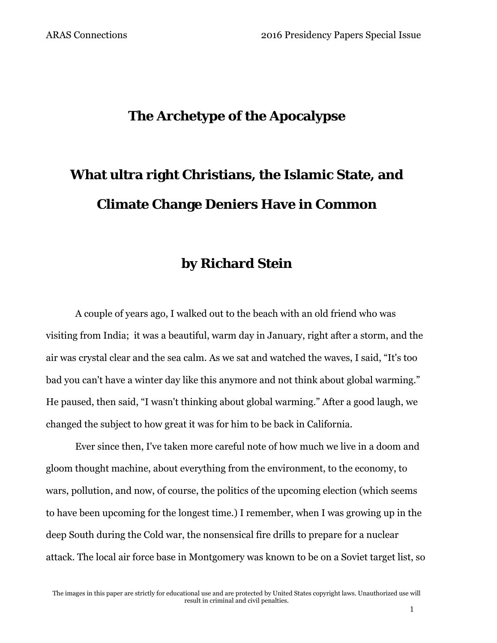### **The Archetype of the Apocalypse**

# **What ultra right Christians, the Islamic State, and Climate Change Deniers Have in Common**

### **by Richard Stein**

A couple of years ago, I walked out to the beach with an old friend who was visiting from India; it was a beautiful, warm day in January, right after a storm, and the air was crystal clear and the sea calm. As we sat and watched the waves, I said, "It's too bad you can't have a winter day like this anymore and not think about global warming." He paused, then said, "I wasn't thinking about global warming." After a good laugh, we changed the subject to how great it was for him to be back in California.

Ever since then, I've taken more careful note of how much we live in a doom and gloom thought machine, about everything from the environment, to the economy, to wars, pollution, and now, of course, the politics of the upcoming election (which seems to have been upcoming for the longest time.) I remember, when I was growing up in the deep South during the Cold war, the nonsensical fire drills to prepare for a nuclear attack. The local air force base in Montgomery was known to be on a Soviet target list, so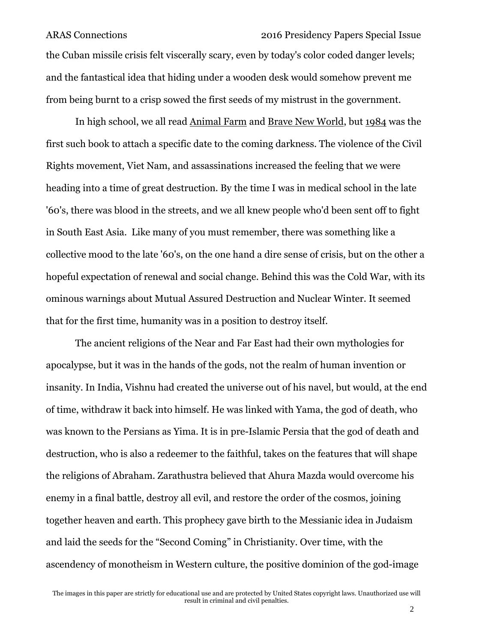# ARAS Connections 2016 Presidency Papers Special Issue the Cuban missile crisis felt viscerally scary, even by today's color coded danger levels; and the fantastical idea that hiding under a wooden desk would somehow prevent me from being burnt to a crisp sowed the first seeds of my mistrust in the government.

In high school, we all read Animal Farm and Brave New World, but 1984 was the first such book to attach a specific date to the coming darkness. The violence of the Civil Rights movement, Viet Nam, and assassinations increased the feeling that we were heading into a time of great destruction. By the time I was in medical school in the late '60's, there was blood in the streets, and we all knew people who'd been sent off to fight in South East Asia. Like many of you must remember, there was something like a collective mood to the late '60's, on the one hand a dire sense of crisis, but on the other a hopeful expectation of renewal and social change. Behind this was the Cold War, with its ominous warnings about Mutual Assured Destruction and Nuclear Winter. It seemed that for the first time, humanity was in a position to destroy itself.

The ancient religions of the Near and Far East had their own mythologies for apocalypse, but it was in the hands of the gods, not the realm of human invention or insanity. In India, Vishnu had created the universe out of his navel, but would, at the end of time, withdraw it back into himself. He was linked with Yama, the god of death, who was known to the Persians as Yima. It is in pre-Islamic Persia that the god of death and destruction, who is also a redeemer to the faithful, takes on the features that will shape the religions of Abraham. Zarathustra believed that Ahura Mazda would overcome his enemy in a final battle, destroy all evil, and restore the order of the cosmos, joining together heaven and earth. This prophecy gave birth to the Messianic idea in Judaism and laid the seeds for the "Second Coming" in Christianity. Over time, with the ascendency of monotheism in Western culture, the positive dominion of the god-image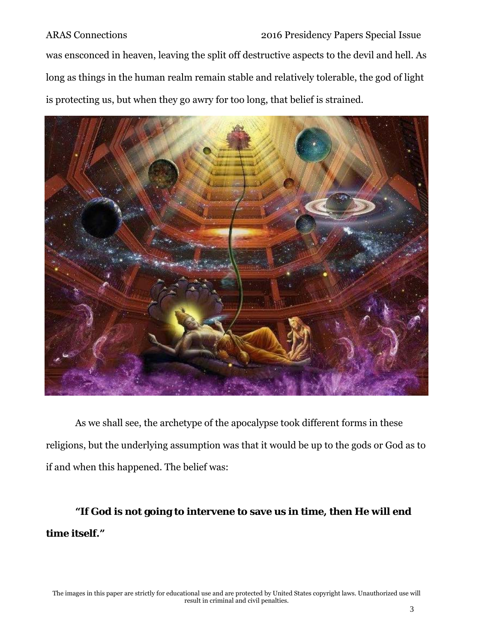was ensconced in heaven, leaving the split off destructive aspects to the devil and hell. As long as things in the human realm remain stable and relatively tolerable, the god of light is protecting us, but when they go awry for too long, that belief is strained.



As we shall see, the archetype of the apocalypse took different forms in these religions, but the underlying assumption was that it would be up to the gods or God as to if and when this happened. The belief was:

**"If God is not going to intervene to save us in time, then He will end time itself."**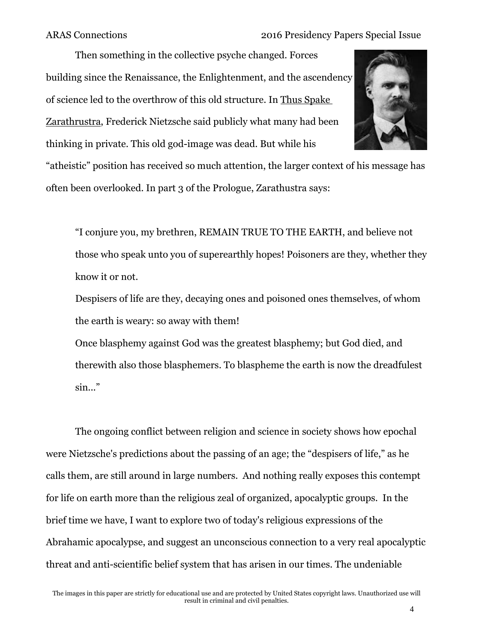Then something in the collective psyche changed. Forces building since the Renaissance, the Enlightenment, and the ascendency of science led to the overthrow of this old structure. In Thus Spake Zarathrustra, Frederick Nietzsche said publicly what many had been thinking in private. This old god-image was dead. But while his



"atheistic" position has received so much attention, the larger context of his message has often been overlooked. In part 3 of the Prologue, Zarathustra says:

"I conjure you, my brethren, REMAIN TRUE TO THE EARTH, and believe not those who speak unto you of superearthly hopes! Poisoners are they, whether they know it or not.

Despisers of life are they, decaying ones and poisoned ones themselves, of whom the earth is weary: so away with them!

Once blasphemy against God was the greatest blasphemy; but God died, and therewith also those blasphemers. To blaspheme the earth is now the dreadfulest sin..."

The ongoing conflict between religion and science in society shows how epochal were Nietzsche's predictions about the passing of an age; the "despisers of life," as he calls them, are still around in large numbers. And nothing really exposes this contempt for life on earth more than the religious zeal of organized, apocalyptic groups. In the brief time we have, I want to explore two of today's religious expressions of the Abrahamic apocalypse, and suggest an unconscious connection to a very real apocalyptic threat and anti-scientific belief system that has arisen in our times. The undeniable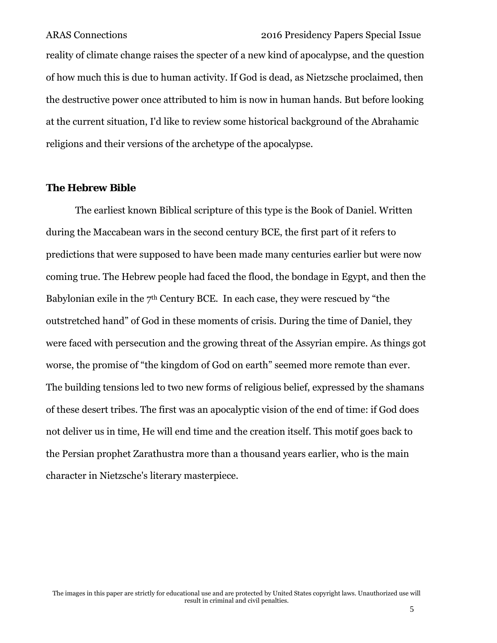reality of climate change raises the specter of a new kind of apocalypse, and the question of how much this is due to human activity. If God is dead, as Nietzsche proclaimed, then the destructive power once attributed to him is now in human hands. But before looking at the current situation, I'd like to review some historical background of the Abrahamic religions and their versions of the archetype of the apocalypse.

#### **The Hebrew Bible**

The earliest known Biblical scripture of this type is the Book of Daniel. Written during the Maccabean wars in the second century BCE, the first part of it refers to predictions that were supposed to have been made many centuries earlier but were now coming true. The Hebrew people had faced the flood, the bondage in Egypt, and then the Babylonian exile in the 7<sup>th</sup> Century BCE. In each case, they were rescued by "the outstretched hand" of God in these moments of crisis. During the time of Daniel, they were faced with persecution and the growing threat of the Assyrian empire. As things got worse, the promise of "the kingdom of God on earth" seemed more remote than ever. The building tensions led to two new forms of religious belief, expressed by the shamans of these desert tribes. The first was an apocalyptic vision of the end of time: if God does not deliver us in time, He will end time and the creation itself. This motif goes back to the Persian prophet Zarathustra more than a thousand years earlier, who is the main character in Nietzsche's literary masterpiece.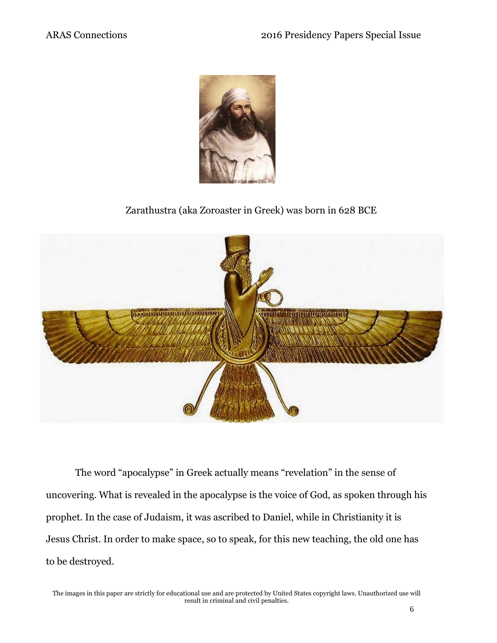

### Zarathustra (aka Zoroaster in Greek) was born in 628 BCE



The word "apocalypse" in Greek actually means "revelation" in the sense of uncovering. What is revealed in the apocalypse is the voice of God, as spoken through his prophet. In the case of Judaism, it was ascribed to Daniel, while in Christianity it is Jesus Christ. In order to make space, so to speak, for this new teaching, the old one has to be destroyed.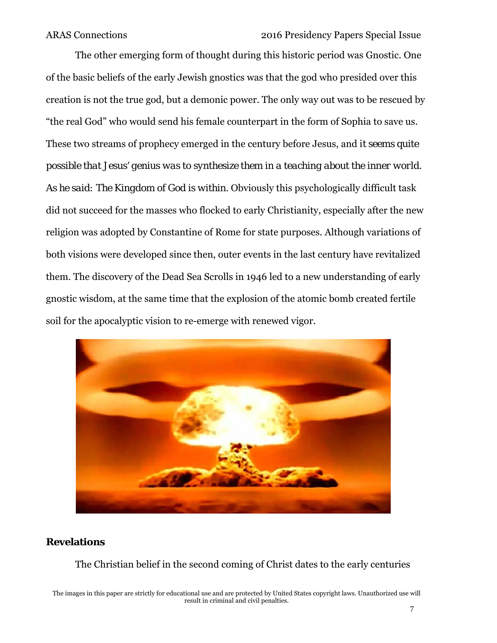The other emerging form of thought during this historic period was Gnostic. One of the basic beliefs of the early Jewish gnostics was that the god who presided over this creation is not the true god, but a demonic power. The only way out was to be rescued by "the real God" who would send his female counterpart in the form of Sophia to save us. These two streams of prophecy emerged in the century before Jesus, and i*t seems quite possible that Jesus' genius was to synthesize them in a teaching about the inner world. As he said: The Kingdom of God is within.* Obviously this psychologically difficult task did not succeed for the masses who flocked to early Christianity, especially after the new religion was adopted by Constantine of Rome for state purposes. Although variations of both visions were developed since then, outer events in the last century have revitalized them. The discovery of the Dead Sea Scrolls in 1946 led to a new understanding of early gnostic wisdom, at the same time that the explosion of the atomic bomb created fertile soil for the apocalyptic vision to re-emerge with renewed vigor.



### **Revelations**

The Christian belief in the second coming of Christ dates to the early centuries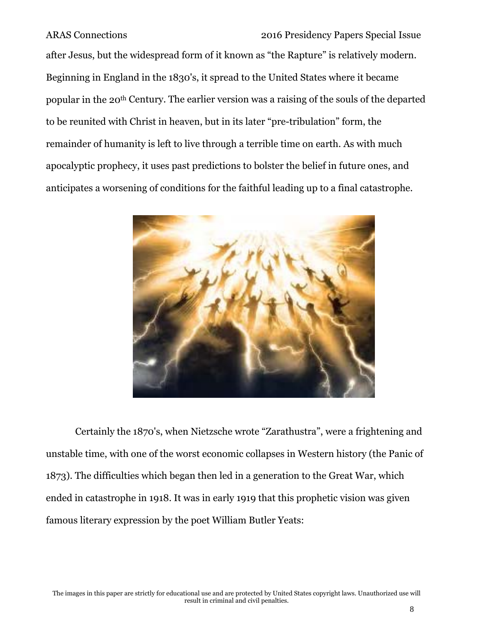after Jesus, but the widespread form of it known as "the Rapture" is relatively modern. Beginning in England in the 1830's, it spread to the United States where it became popular in the 20th Century. The earlier version was a raising of the souls of the departed to be reunited with Christ in heaven, but in its later "pre-tribulation" form, the remainder of humanity is left to live through a terrible time on earth. As with much apocalyptic prophecy, it uses past predictions to bolster the belief in future ones, and anticipates a worsening of conditions for the faithful leading up to a final catastrophe.



Certainly the 1870's, when Nietzsche wrote "Zarathustra", were a frightening and unstable time, with one of the worst economic collapses in Western history (the Panic of 1873). The difficulties which began then led in a generation to the Great War, which ended in catastrophe in 1918. It was in early 1919 that this prophetic vision was given famous literary expression by the poet William Butler Yeats: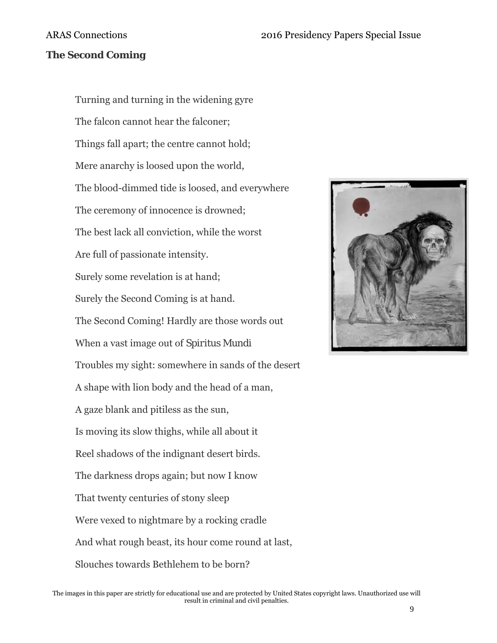### **The Second Coming**

Turning and turning in the widening gyre The falcon cannot hear the falconer; Things fall apart; the centre cannot hold; Mere anarchy is loosed upon the world, The blood-dimmed tide is loosed, and everywhere The ceremony of innocence is drowned; The best lack all conviction, while the worst Are full of passionate intensity. Surely some revelation is at hand; Surely the Second Coming is at hand. The Second Coming! Hardly are those words out When a vast image out of *Spiritus Mundi* Troubles my sight: somewhere in sands of the desert A shape with lion body and the head of a man, A gaze blank and pitiless as the sun, Is moving its slow thighs, while all about it Reel shadows of the indignant desert birds. The darkness drops again; but now I know That twenty centuries of stony sleep Were vexed to nightmare by a rocking cradle And what rough beast, its hour come round at last, Slouches towards Bethlehem to be born?

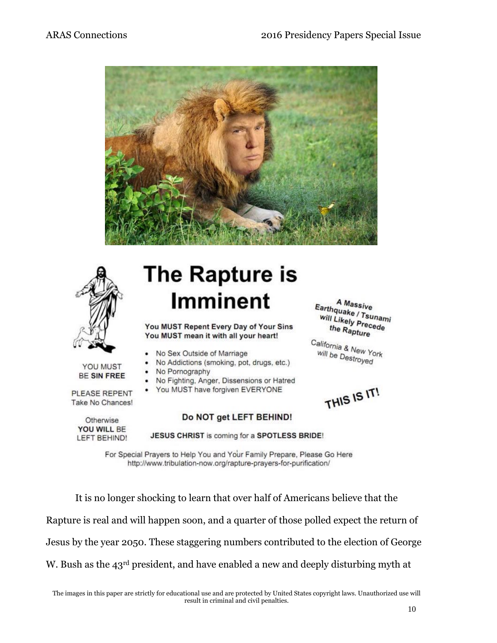



# **The Rapture is Imminent**

You MUST Repent Every Day of Your Sins You MUST mean it with all your heart!

- No Sex Outside of Marriage
- No Addictions (smoking, pot, drugs, etc.)
- No Pornography
- No Fighting, Anger, Dissensions or Hatred
- You MUST have forgiven EVERYONE

Take No Chances! Otherwise

YOU MUST

**BE SIN FREE** 

PLEASE REPENT

### YOU WILL BE LEFT BEHIND!

#### Do NOT get LEFT BEHIND!

JESUS CHRIST is coming for a SPOTLESS BRIDE!

For Special Prayers to Help You and Your Family Prepare, Please Go Here http://www.tribulation-now.org/rapture-prayers-for-purification/

It is no longer shocking to learn that over half of Americans believe that the Rapture is real and will happen soon, and a quarter of those polled expect the return of Jesus by the year 2050. These staggering numbers contributed to the election of George W. Bush as the 43<sup>rd</sup> president, and have enabled a new and deeply disturbing myth at

A Massive Earthquake / Tsunami<br>will Likely Pressami will Likely Precede<br>the Ranting the Rapture

California & New York<br>Will be Destroy will be Destroyed

THIS IS IT!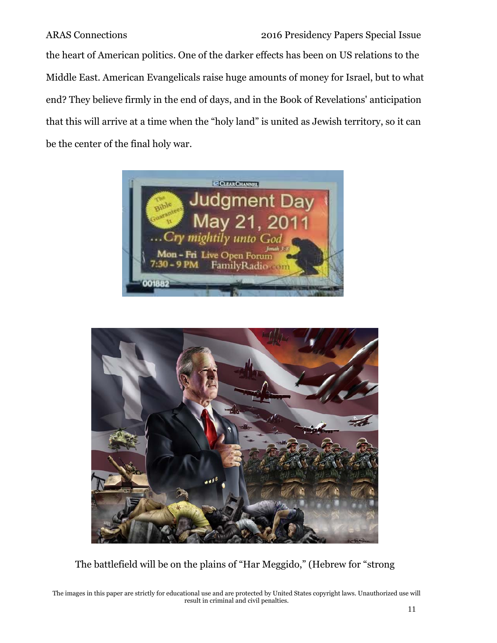the heart of American politics. One of the darker effects has been on US relations to the Middle East. American Evangelicals raise huge amounts of money for Israel, but to what end? They believe firmly in the end of days, and in the Book of Revelations' anticipation that this will arrive at a time when the "holy land" is united as Jewish territory, so it can be the center of the final holy war.





The battlefield will be on the plains of "Har Meggido," (Hebrew for "strong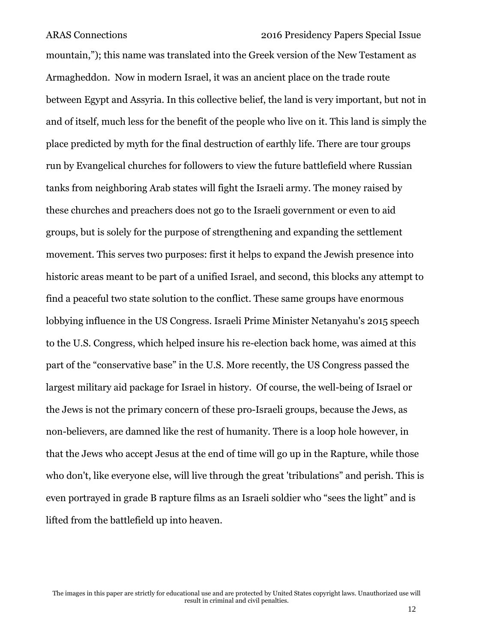mountain,"); this name was translated into the Greek version of the New Testament as Armagheddon. Now in modern Israel, it was an ancient place on the trade route between Egypt and Assyria. In this collective belief, the land is very important, but not in and of itself, much less for the benefit of the people who live on it. This land is simply the place predicted by myth for the final destruction of earthly life. There are tour groups run by Evangelical churches for followers to view the future battlefield where Russian tanks from neighboring Arab states will fight the Israeli army. The money raised by these churches and preachers does not go to the Israeli government or even to aid groups, but is solely for the purpose of strengthening and expanding the settlement movement. This serves two purposes: first it helps to expand the Jewish presence into historic areas meant to be part of a unified Israel, and second, this blocks any attempt to find a peaceful two state solution to the conflict. These same groups have enormous lobbying influence in the US Congress. Israeli Prime Minister Netanyahu's 2015 speech to the U.S. Congress, which helped insure his re-election back home, was aimed at this part of the "conservative base" in the U.S. More recently, the US Congress passed the largest military aid package for Israel in history. Of course, the well-being of Israel or the Jews is not the primary concern of these pro-Israeli groups, because the Jews, as non-believers, are damned like the rest of humanity. There is a loop hole however, in that the Jews who accept Jesus at the end of time will go up in the Rapture, while those who don't, like everyone else, will live through the great 'tribulations" and perish. This is even portrayed in grade B rapture films as an Israeli soldier who "sees the light" and is lifted from the battlefield up into heaven.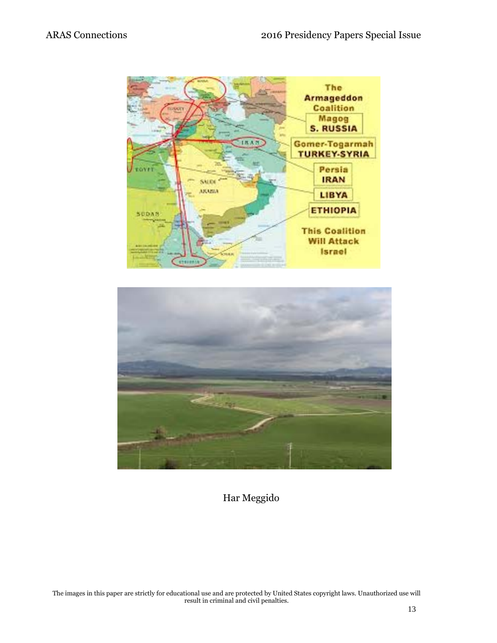



Har Meggido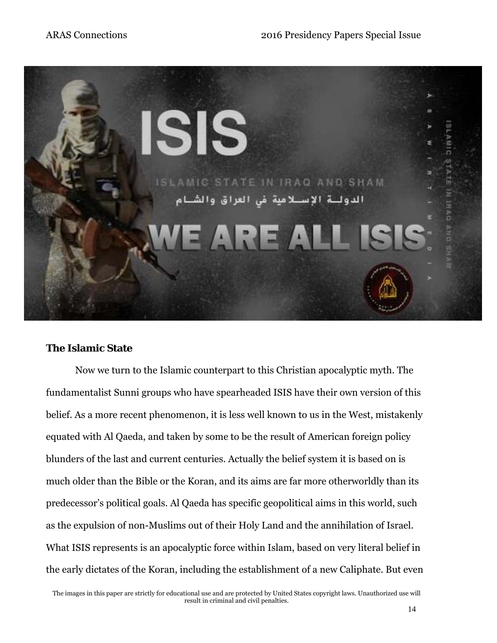

### **The Islamic State**

Now we turn to the Islamic counterpart to this Christian apocalyptic myth. The fundamentalist Sunni groups who have spearheaded ISIS have their own version of this belief. As a more recent phenomenon, it is less well known to us in the West, mistakenly equated with Al Qaeda, and taken by some to be the result of American foreign policy blunders of the last and current centuries. Actually the belief system it is based on is much older than the Bible or the Koran, and its aims are far more otherworldly than its predecessor's political goals. Al Qaeda has specific geopolitical aims in this world, such as the expulsion of non-Muslims out of their Holy Land and the annihilation of Israel. What ISIS represents is an apocalyptic force within Islam, based on very literal belief in the early dictates of the Koran, including the establishment of a new Caliphate. But even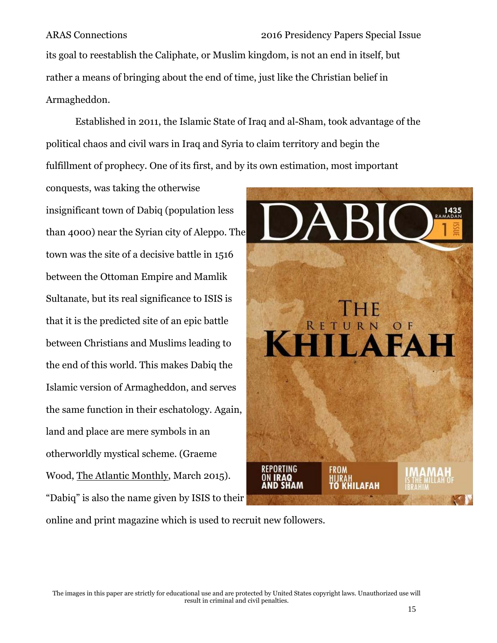its goal to reestablish the Caliphate, or Muslim kingdom, is not an end in itself, but rather a means of bringing about the end of time, just like the Christian belief in Armagheddon.

Established in 2011, the Islamic State of Iraq and al-Sham, took advantage of the political chaos and civil wars in Iraq and Syria to claim territory and begin the fulfillment of prophecy. One of its first, and by its own estimation, most important

conquests, was taking the otherwise insignificant town of Dabiq (population less than 4000) near the Syrian city of Aleppo. The town was the site of a decisive battle in 1516 between the Ottoman Empire and Mamlik Sultanate, but its real significance to ISIS is that it is the predicted site of an epic battle between Christians and Muslims leading to the end of this world. This makes Dabiq the Islamic version of Armagheddon, and serves the same function in their eschatology. Again, land and place are mere symbols in an otherworldly mystical scheme. (Graeme Wood, The Atlantic Monthly, March 2015). "Dabiq" is also the name given by ISIS to their



online and print magazine which is used to recruit new followers.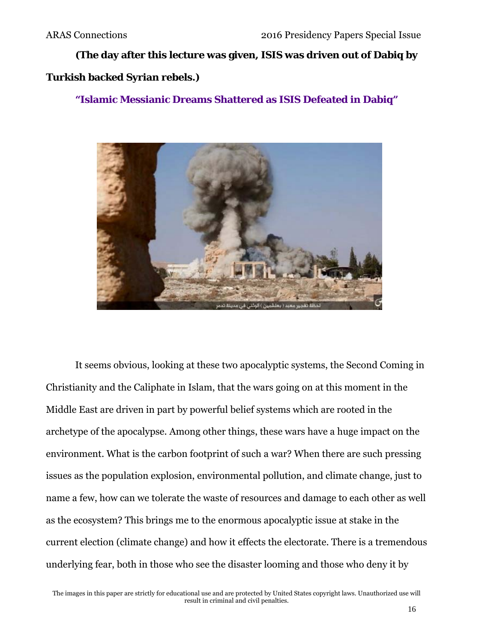**(The day after this lecture was given, ISIS was driven out of Dabiq by** 

### **Turkish backed Syrian rebels.)**

### **"Islamic Messianic Dreams Shattered as ISIS Defeated in Dabiq"**



It seems obvious, looking at these two apocalyptic systems, the Second Coming in Christianity and the Caliphate in Islam, that the wars going on at this moment in the Middle East are driven in part by powerful belief systems which are rooted in the archetype of the apocalypse. Among other things, these wars have a huge impact on the environment. What is the carbon footprint of such a war? When there are such pressing issues as the population explosion, environmental pollution, and climate change, just to name a few, how can we tolerate the waste of resources and damage to each other as well as the ecosystem? This brings me to the enormous apocalyptic issue at stake in the current election (climate change) and how it effects the electorate. There is a tremendous underlying fear, both in those who see the disaster looming and those who deny it by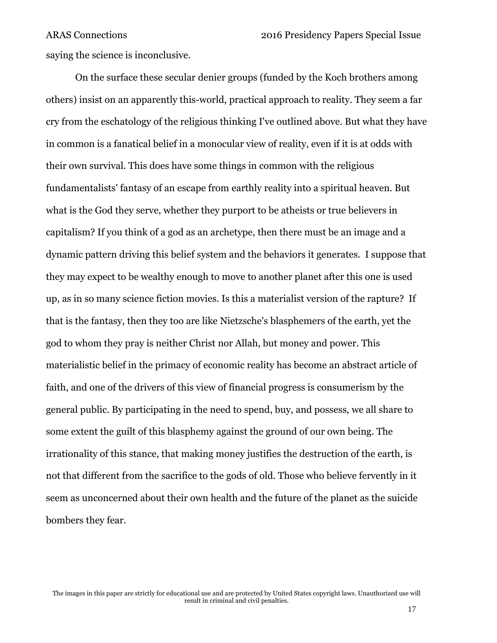saying the science is inconclusive.

On the surface these secular denier groups (funded by the Koch brothers among others) insist on an apparently this-world, practical approach to reality. They seem a far cry from the eschatology of the religious thinking I've outlined above. But what they have in common is a fanatical belief in a monocular view of reality, even if it is at odds with their own survival. This does have some things in common with the religious fundamentalists' fantasy of an escape from earthly reality into a spiritual heaven. But what is the God they serve, whether they purport to be atheists or true believers in capitalism? If you think of a god as an archetype, then there must be an image and a dynamic pattern driving this belief system and the behaviors it generates. I suppose that they may expect to be wealthy enough to move to another planet after this one is used up, as in so many science fiction movies. Is this a materialist version of the rapture? If that is the fantasy, then they too are like Nietzsche's blasphemers of the earth, yet the god to whom they pray is neither Christ nor Allah, but money and power. This materialistic belief in the primacy of economic reality has become an abstract article of faith, and one of the drivers of this view of financial progress is consumerism by the general public. By participating in the need to spend, buy, and possess, we all share to some extent the guilt of this blasphemy against the ground of our own being. The irrationality of this stance, that making money justifies the destruction of the earth, is not that different from the sacrifice to the gods of old. Those who believe fervently in it seem as unconcerned about their own health and the future of the planet as the suicide bombers they fear.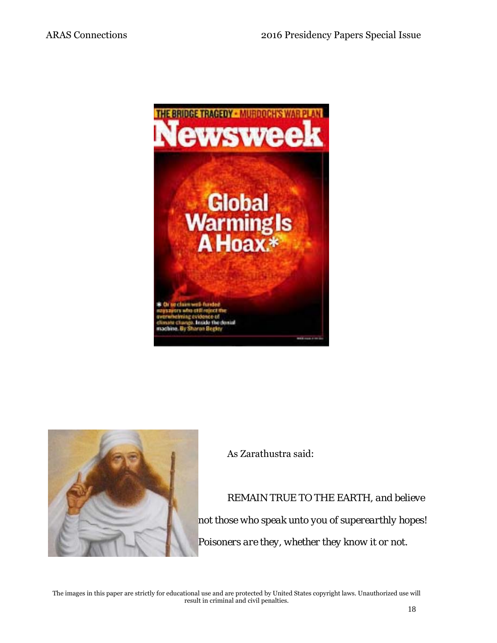



As Zarathustra said:

*REMAIN TRUE TO THE EARTH, and believe not those who speak unto you of superearthly hopes! Poisoners are they, whether they know it or not.*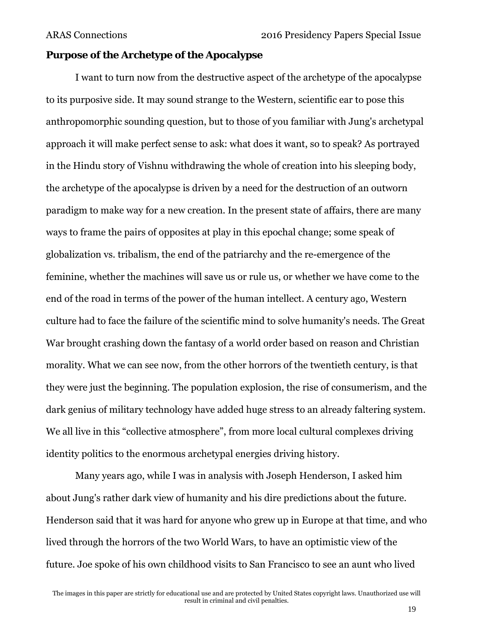### **Purpose of the Archetype of the Apocalypse**

I want to turn now from the destructive aspect of the archetype of the apocalypse to its purposive side. It may sound strange to the Western, scientific ear to pose this anthropomorphic sounding question, but to those of you familiar with Jung's archetypal approach it will make perfect sense to ask: what does it want, so to speak? As portrayed in the Hindu story of Vishnu withdrawing the whole of creation into his sleeping body, the archetype of the apocalypse is driven by a need for the destruction of an outworn paradigm to make way for a new creation. In the present state of affairs, there are many ways to frame the pairs of opposites at play in this epochal change; some speak of globalization vs. tribalism, the end of the patriarchy and the re-emergence of the feminine, whether the machines will save us or rule us, or whether we have come to the end of the road in terms of the power of the human intellect. A century ago, Western culture had to face the failure of the scientific mind to solve humanity's needs. The Great War brought crashing down the fantasy of a world order based on reason and Christian morality. What we can see now, from the other horrors of the twentieth century, is that they were just the beginning. The population explosion, the rise of consumerism, and the dark genius of military technology have added huge stress to an already faltering system. We all live in this "collective atmosphere", from more local cultural complexes driving identity politics to the enormous archetypal energies driving history.

Many years ago, while I was in analysis with Joseph Henderson, I asked him about Jung's rather dark view of humanity and his dire predictions about the future. Henderson said that it was hard for anyone who grew up in Europe at that time, and who lived through the horrors of the two World Wars, to have an optimistic view of the future. Joe spoke of his own childhood visits to San Francisco to see an aunt who lived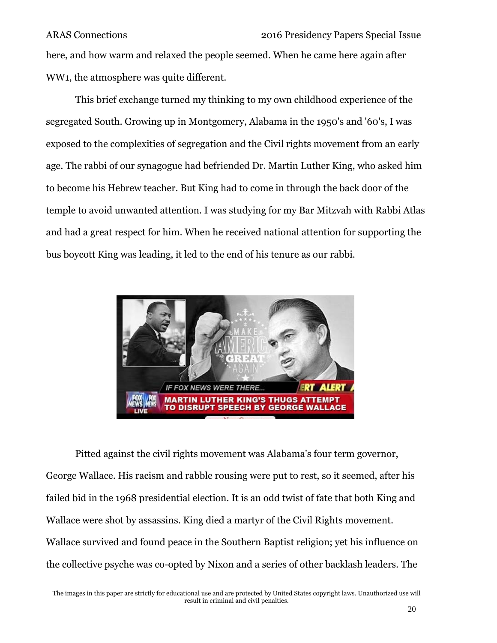here, and how warm and relaxed the people seemed. When he came here again after WW1, the atmosphere was quite different.

This brief exchange turned my thinking to my own childhood experience of the segregated South. Growing up in Montgomery, Alabama in the 1950's and '60's, I was exposed to the complexities of segregation and the Civil rights movement from an early age. The rabbi of our synagogue had befriended Dr. Martin Luther King, who asked him to become his Hebrew teacher. But King had to come in through the back door of the temple to avoid unwanted attention. I was studying for my Bar Mitzvah with Rabbi Atlas and had a great respect for him. When he received national attention for supporting the bus boycott King was leading, it led to the end of his tenure as our rabbi.



Pitted against the civil rights movement was Alabama's four term governor, George Wallace. His racism and rabble rousing were put to rest, so it seemed, after his failed bid in the 1968 presidential election. It is an odd twist of fate that both King and Wallace were shot by assassins. King died a martyr of the Civil Rights movement. Wallace survived and found peace in the Southern Baptist religion; yet his influence on the collective psyche was co-opted by Nixon and a series of other backlash leaders. The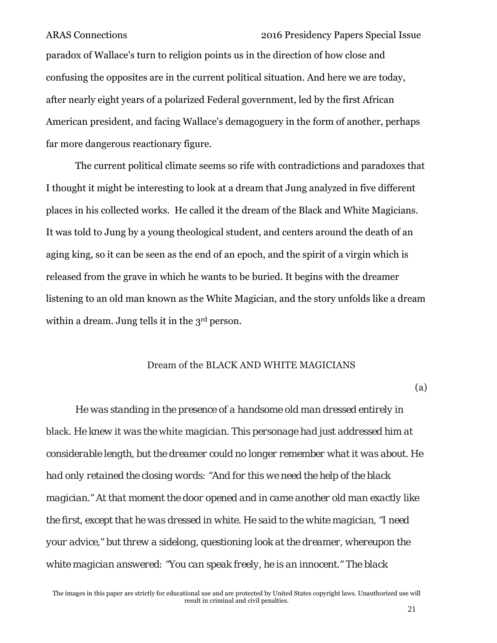paradox of Wallace's turn to religion points us in the direction of how close and confusing the opposites are in the current political situation. And here we are today, after nearly eight years of a polarized Federal government, led by the first African American president, and facing Wallace's demagoguery in the form of another, perhaps far more dangerous reactionary figure.

The current political climate seems so rife with contradictions and paradoxes that I thought it might be interesting to look at a dream that Jung analyzed in five different places in his collected works. He called it the dream of the Black and White Magicians. It was told to Jung by a young theological student, and centers around the death of an aging king, so it can be seen as the end of an epoch, and the spirit of a virgin which is released from the grave in which he wants to be buried. It begins with the dreamer listening to an old man known as the White Magician, and the story unfolds like a dream within a dream. Jung tells it in the 3<sup>rd</sup> person.

#### Dream of the BLACK AND WHITE MAGICIANS

(a)

*He was standing in the presence of a handsome old man dressed entirely in*  black. *He knew it was the* white *magician. This personage had just addressed him at considerable length, but the dreamer could no longer remember what it was about. He had only retained the closing words: "And for this we need the help of the black magician." At that moment the door opened and in came another old man exactly like the first, except that he was dressed in white. He said to the white magician, "I need your advice," but threw a sidelong, questioning look at the dreamer, whereupon the white magician answered: "You can speak freely, he is an innocent." The black*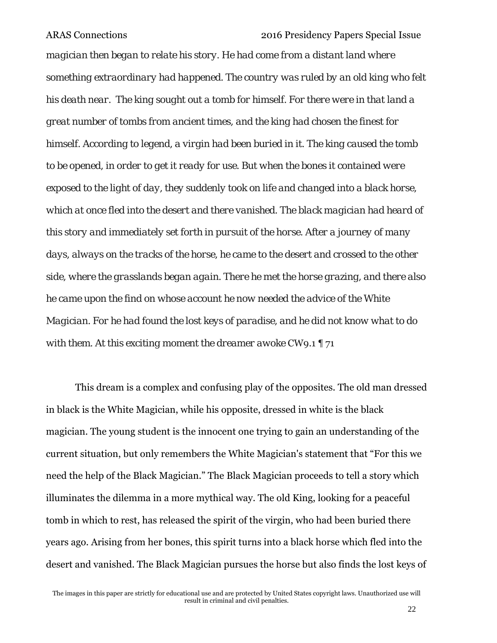*magician then began to relate his story. He had come from a distant land where something extraordinary had happened. The country was ruled by an old king who felt his death near. The king sought out a tomb for himself. For there were in that land a great number of tombs from ancient times, and the king had chosen the finest for himself. According to legend, a virgin had been buried in it. The king caused the tomb to be opened, in order to get it ready for use. But when the bones it contained were exposed to the light of day, they suddenly took on life and changed into a black horse, which at once fled into the desert and there vanished. The black magician had heard of this story and immediately set forth in pursuit of the horse. After a journey of many days, always on the tracks of the horse, he came to the desert and crossed to the other side, where the grasslands began again. There he met the horse grazing, and there also he came upon the find on whose account he now needed the advice of the White Magician. For he had found the lost keys of paradise, and he did not know what to do with them. At this exciting moment the dreamer awoke* CW9.1 ¶ 71

This dream is a complex and confusing play of the opposites. The old man dressed in black is the White Magician, while his opposite, dressed in white is the black magician. The young student is the innocent one trying to gain an understanding of the current situation, but only remembers the White Magician's statement that "For this we need the help of the Black Magician." The Black Magician proceeds to tell a story which illuminates the dilemma in a more mythical way. The old King, looking for a peaceful tomb in which to rest, has released the spirit of the virgin, who had been buried there years ago. Arising from her bones, this spirit turns into a black horse which fled into the desert and vanished. The Black Magician pursues the horse but also finds the lost keys of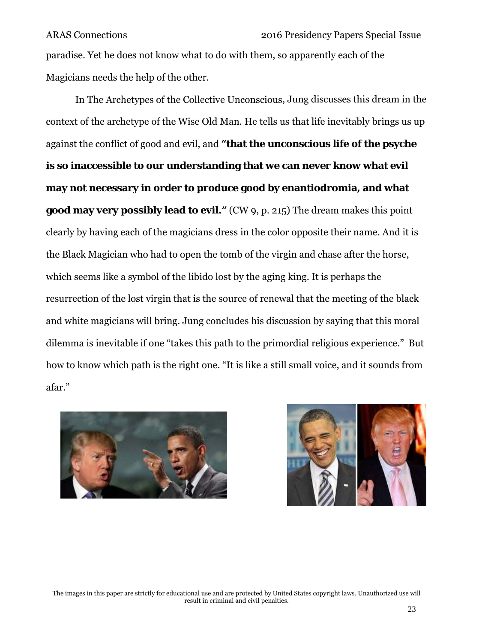paradise. Yet he does not know what to do with them, so apparently each of the Magicians needs the help of the other.

In The Archetypes of the Collective Unconscious, Jung discusses this dream in the context of the archetype of the Wise Old Man. He tells us that life inevitably brings us up against the conflict of good and evil, and **"that the unconscious life of the psyche is so inaccessible to our understanding that we can never know what evil may not necessary in order to produce good by enantiodromia, and what good may very possibly lead to evil."** (CW 9, p. 215) The dream makes this point clearly by having each of the magicians dress in the color opposite their name. And it is the Black Magician who had to open the tomb of the virgin and chase after the horse, which seems like a symbol of the libido lost by the aging king. It is perhaps the resurrection of the lost virgin that is the source of renewal that the meeting of the black and white magicians will bring. Jung concludes his discussion by saying that this moral dilemma is inevitable if one "takes this path to the primordial religious experience." But how to know which path is the right one. "It is like a still small voice, and it sounds from afar."



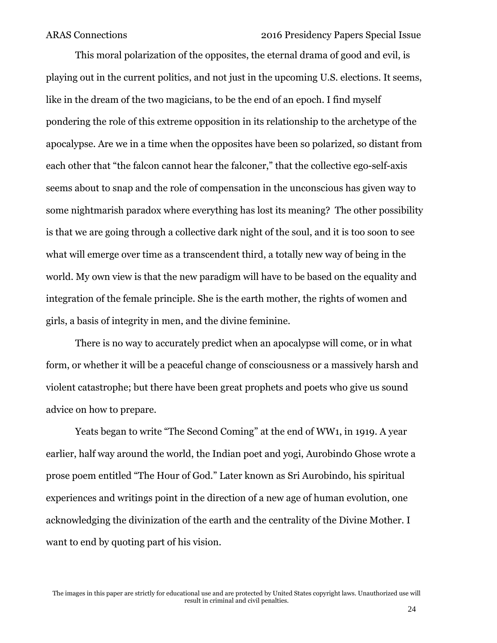This moral polarization of the opposites, the eternal drama of good and evil, is playing out in the current politics, and not just in the upcoming U.S. elections. It seems, like in the dream of the two magicians, to be the end of an epoch. I find myself pondering the role of this extreme opposition in its relationship to the archetype of the apocalypse. Are we in a time when the opposites have been so polarized, so distant from each other that "the falcon cannot hear the falconer," that the collective ego-self-axis seems about to snap and the role of compensation in the unconscious has given way to some nightmarish paradox where everything has lost its meaning? The other possibility is that we are going through a collective dark night of the soul, and it is too soon to see what will emerge over time as a transcendent third, a totally new way of being in the world. My own view is that the new paradigm will have to be based on the equality and integration of the female principle. She is the earth mother, the rights of women and girls, a basis of integrity in men, and the divine feminine.

There is no way to accurately predict when an apocalypse will come, or in what form, or whether it will be a peaceful change of consciousness or a massively harsh and violent catastrophe; but there have been great prophets and poets who give us sound advice on how to prepare.

Yeats began to write "The Second Coming" at the end of WW1, in 1919. A year earlier, half way around the world, the Indian poet and yogi, Aurobindo Ghose wrote a prose poem entitled "The Hour of God." Later known as Sri Aurobindo, his spiritual experiences and writings point in the direction of a new age of human evolution, one acknowledging the divinization of the earth and the centrality of the Divine Mother. I want to end by quoting part of his vision.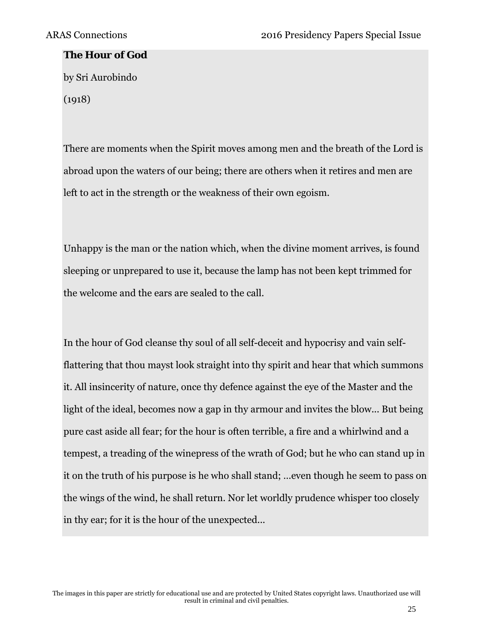#### **The Hour of God**

by Sri Aurobindo (1918)

There are moments when the Spirit moves among men and the breath of the Lord is abroad upon the waters of our being; there are others when it retires and men are left to act in the strength or the weakness of their own egoism.

Unhappy is the man or the nation which, when the divine moment arrives, is found sleeping or unprepared to use it, because the lamp has not been kept trimmed for the welcome and the ears are sealed to the call.

In the hour of God cleanse thy soul of all self-deceit and hypocrisy and vain selfflattering that thou mayst look straight into thy spirit and hear that which summons it. All insincerity of nature, once thy defence against the eye of the Master and the light of the ideal, becomes now a gap in thy armour and invites the blow... But being pure cast aside all fear; for the hour is often terrible, a fire and a whirlwind and a tempest, a treading of the winepress of the wrath of God; but he who can stand up in it on the truth of his purpose is he who shall stand; …even though he seem to pass on the wings of the wind, he shall return. Nor let worldly prudence whisper too closely in thy ear; for it is the hour of the unexpected...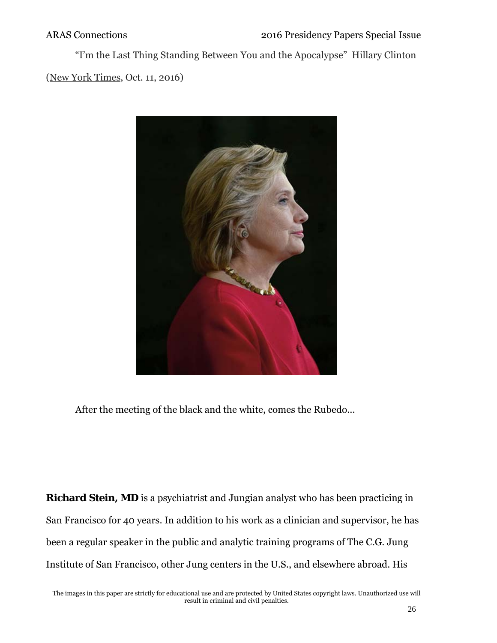"I'm the Last Thing Standing Between You and the Apocalypse" Hillary Clinton (New York Times, Oct. 11, 2016)



After the meeting of the black and the white, comes the Rubedo...

**Richard Stein, MD** is a psychiatrist and Jungian analyst who has been practicing in San Francisco for 40 years. In addition to his work as a clinician and supervisor, he has been a regular speaker in the public and analytic training programs of The C.G. Jung Institute of San Francisco, other Jung centers in the U.S., and elsewhere abroad. His